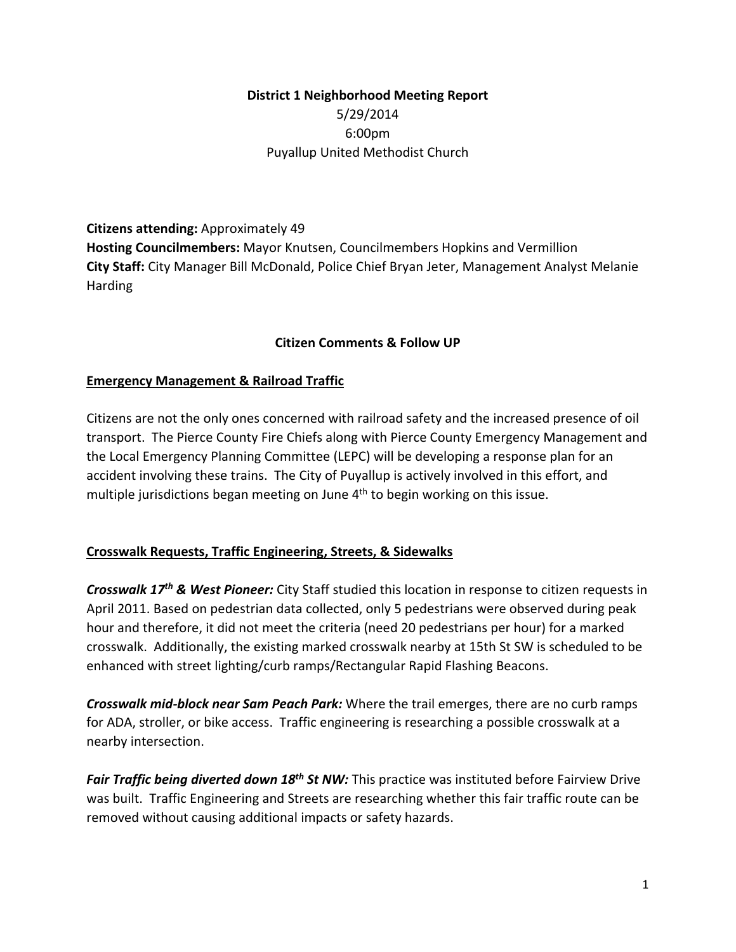# **District 1 Neighborhood Meeting Report** 5/29/2014 6:00pm Puyallup United Methodist Church

**Citizens attending:** Approximately 49 **Hosting Councilmembers:** Mayor Knutsen, Councilmembers Hopkins and Vermillion **City Staff:** City Manager Bill McDonald, Police Chief Bryan Jeter, Management Analyst Melanie Harding

#### **Citizen Comments & Follow UP**

#### **Emergency Management & Railroad Traffic**

Citizens are not the only ones concerned with railroad safety and the increased presence of oil transport. The Pierce County Fire Chiefs along with Pierce County Emergency Management and the Local Emergency Planning Committee (LEPC) will be developing a response plan for an accident involving these trains. The City of Puyallup is actively involved in this effort, and multiple jurisdictions began meeting on June  $4<sup>th</sup>$  to begin working on this issue.

#### **Crosswalk Requests, Traffic Engineering, Streets, & Sidewalks**

*Crosswalk 17th & West Pioneer:* City Staff studied this location in response to citizen requests in April 2011. Based on pedestrian data collected, only 5 pedestrians were observed during peak hour and therefore, it did not meet the criteria (need 20 pedestrians per hour) for a marked crosswalk. Additionally, the existing marked crosswalk nearby at 15th St SW is scheduled to be enhanced with street lighting/curb ramps/Rectangular Rapid Flashing Beacons.

*Crosswalk mid‐block near Sam Peach Park:* Where the trail emerges, there are no curb ramps for ADA, stroller, or bike access. Traffic engineering is researching a possible crosswalk at a nearby intersection.

*Fair Traffic being diverted down 18th St NW:* This practice was instituted before Fairview Drive was built. Traffic Engineering and Streets are researching whether this fair traffic route can be removed without causing additional impacts or safety hazards.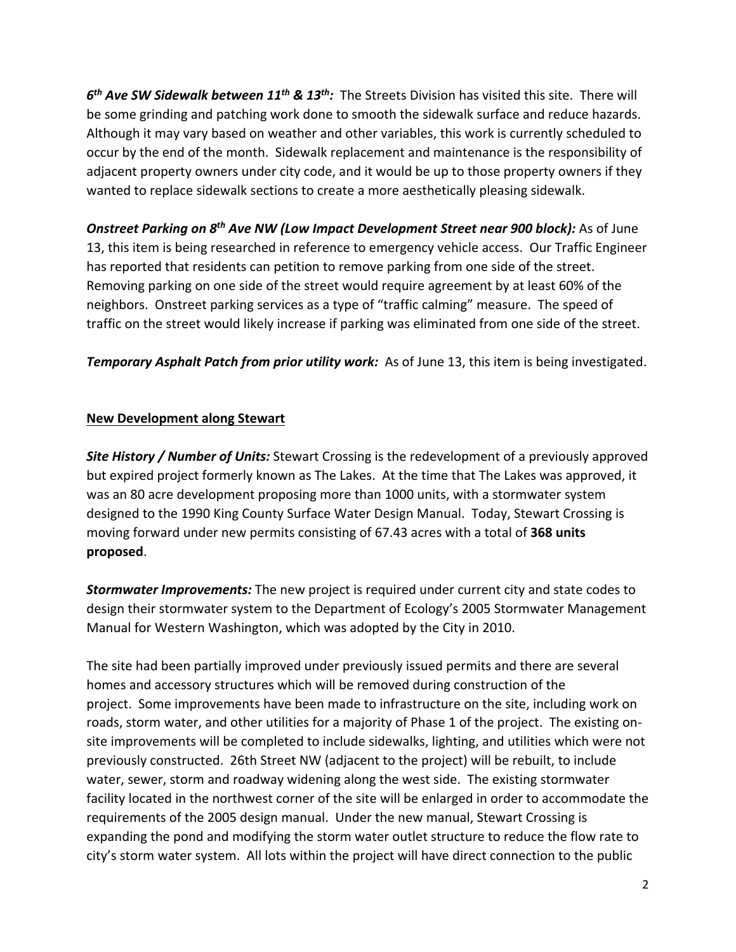*6th Ave SW Sidewalk between 11th & 13th:* The Streets Division has visited this site. There will be some grinding and patching work done to smooth the sidewalk surface and reduce hazards. Although it may vary based on weather and other variables, this work is currently scheduled to occur by the end of the month. Sidewalk replacement and maintenance is the responsibility of adjacent property owners under city code, and it would be up to those property owners if they wanted to replace sidewalk sections to create a more aesthetically pleasing sidewalk.

*Onstreet Parking on 8th Ave NW (Low Impact Development Street near 900 block):* As of June 13, this item is being researched in reference to emergency vehicle access. Our Traffic Engineer has reported that residents can petition to remove parking from one side of the street. Removing parking on one side of the street would require agreement by at least 60% of the neighbors. Onstreet parking services as a type of "traffic calming" measure. The speed of traffic on the street would likely increase if parking was eliminated from one side of the street.

*Temporary Asphalt Patch from prior utility work:* As of June 13, this item is being investigated.

#### **New Development along Stewart**

*Site History / Number of Units:* Stewart Crossing is the redevelopment of a previously approved but expired project formerly known as The Lakes. At the time that The Lakes was approved, it was an 80 acre development proposing more than 1000 units, with a stormwater system designed to the 1990 King County Surface Water Design Manual. Today, Stewart Crossing is moving forward under new permits consisting of 67.43 acres with a total of **368 units proposed**.

*Stormwater Improvements:* The new project is required under current city and state codes to design their stormwater system to the Department of Ecology's 2005 Stormwater Management Manual for Western Washington, which was adopted by the City in 2010.

The site had been partially improved under previously issued permits and there are several homes and accessory structures which will be removed during construction of the project. Some improvements have been made to infrastructure on the site, including work on roads, storm water, and other utilities for a majority of Phase 1 of the project. The existing on‐ site improvements will be completed to include sidewalks, lighting, and utilities which were not previously constructed. 26th Street NW (adjacent to the project) will be rebuilt, to include water, sewer, storm and roadway widening along the west side. The existing stormwater facility located in the northwest corner of the site will be enlarged in order to accommodate the requirements of the 2005 design manual. Under the new manual, Stewart Crossing is expanding the pond and modifying the storm water outlet structure to reduce the flow rate to city's storm water system. All lots within the project will have direct connection to the public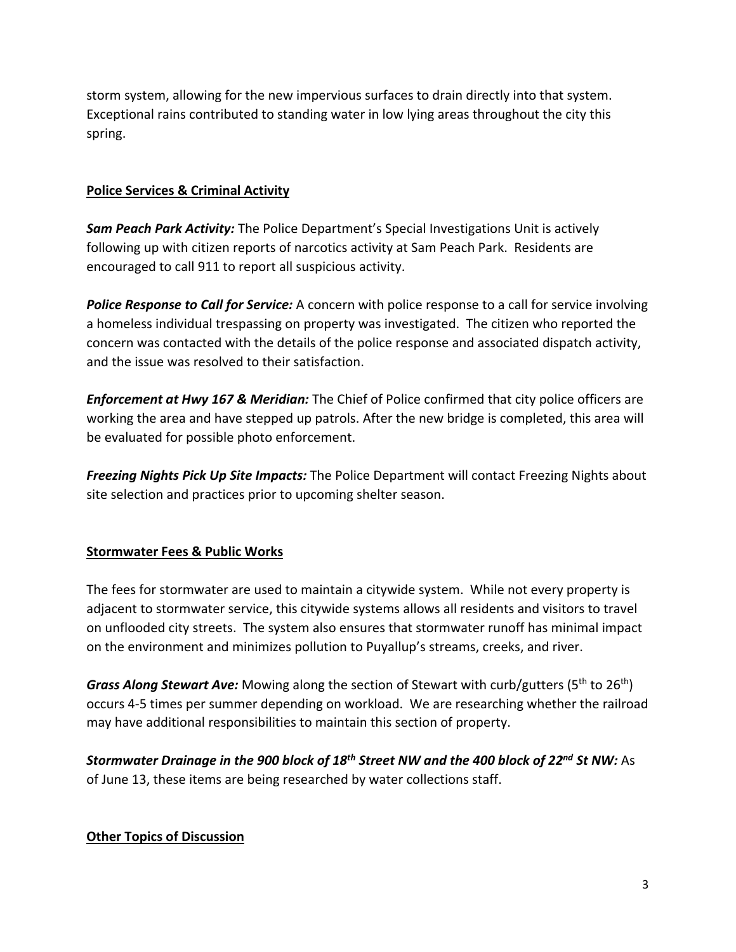storm system, allowing for the new impervious surfaces to drain directly into that system. Exceptional rains contributed to standing water in low lying areas throughout the city this spring.

### **Police Services & Criminal Activity**

*Sam Peach Park Activity:* The Police Department's Special Investigations Unit is actively following up with citizen reports of narcotics activity at Sam Peach Park. Residents are encouraged to call 911 to report all suspicious activity.

*Police Response to Call for Service:* A concern with police response to a call for service involving a homeless individual trespassing on property was investigated. The citizen who reported the concern was contacted with the details of the police response and associated dispatch activity, and the issue was resolved to their satisfaction.

*Enforcement at Hwy 167 & Meridian:* The Chief of Police confirmed that city police officers are working the area and have stepped up patrols. After the new bridge is completed, this area will be evaluated for possible photo enforcement.

*Freezing Nights Pick Up Site Impacts:* The Police Department will contact Freezing Nights about site selection and practices prior to upcoming shelter season.

## **Stormwater Fees & Public Works**

The fees for stormwater are used to maintain a citywide system. While not every property is adjacent to stormwater service, this citywide systems allows all residents and visitors to travel on unflooded city streets. The system also ensures that stormwater runoff has minimal impact on the environment and minimizes pollution to Puyallup's streams, creeks, and river.

*Grass Along Stewart Ave:* Mowing along the section of Stewart with curb/gutters (5th to 26th) occurs 4‐5 times per summer depending on workload. We are researching whether the railroad may have additional responsibilities to maintain this section of property.

*Stormwater Drainage in the 900 block of 18th Street NW and the 400 block of 22nd St NW:* As of June 13, these items are being researched by water collections staff.

## **Other Topics of Discussion**